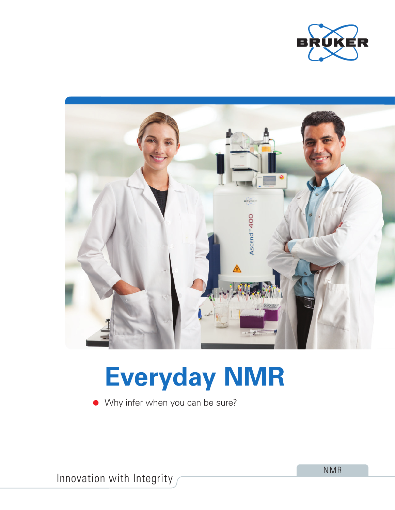



# **Everyday NMR**

Why infer when you can be sure?

Innovation with Integrity

NMR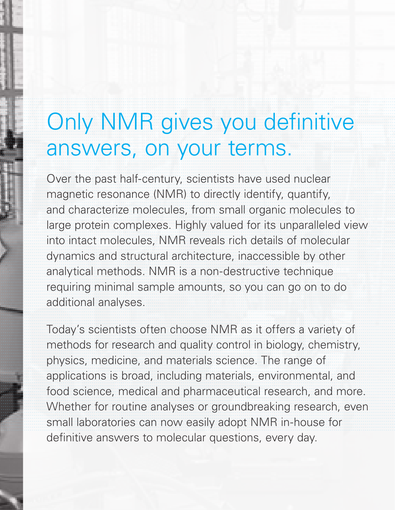## Only NMR gives you definitive answers, on your terms.

Over the past half-century, scientists have used nuclear magnetic resonance (NMR) to directly identify, quantify, and characterize molecules, from small organic molecules to large protein complexes. Highly valued for its unparalleled view into intact molecules, NMR reveals rich details of molecular dynamics and structural architecture, inaccessible by other analytical methods. NMR is a non-destructive technique requiring minimal sample amounts, so you can go on to do additional analyses.

Today's scientists often choose NMR as it offers a variety of methods for research and quality control in biology, chemistry, physics, medicine, and materials science. The range of applications is broad, including materials, environmental, and food science, medical and pharmaceutical research, and more. Whether for routine analyses or groundbreaking research, even small laboratories can now easily adopt NMR in-house for definitive answers to molecular questions, every day.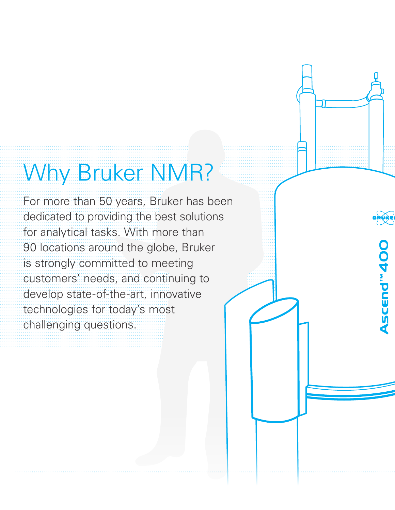## Why Bruker NMR?

For more than 50 years, Bruker has been dedicated to providing the best solutions for analytical tasks. With more than 90 locations around the globe, Bruker is strongly committed to meeting customers' needs, and continuing to develop state-of-the-art, innovative technologies for today's most challenging questions.

Ascend<sup>w</sup> 400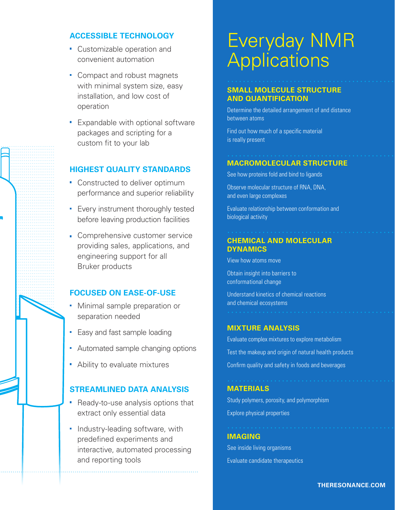### **ACCESSIBLE TECHNOLOGY**

- Customizable operation and convenient automation
- Compact and robust magnets with minimal system size, easy installation, and low cost of operation
- **Expandable with optional software** packages and scripting for a custom fit to your lab

### **HIGHEST QUALITY STANDARDS**

- Constructed to deliver optimum performance and superior reliability
- **Every instrument thoroughly tested** before leaving production facilities
- **Comprehensive customer service** providing sales, applications, and engineering support for all Bruker products

### **FOCUSED ON EASE-OF-USE**

- Minimal sample preparation or separation needed
- **Easy and fast sample loading**
- Automated sample changing options
- Ability to evaluate mixtures

### **STREAMLINED DATA ANALYSIS**

- Ready-to-use analysis options that extract only essential data
- Industry-leading software, with predefined experiments and interactive, automated processing and reporting tools

### Everyday NMR **Applications**

### **SMALL MOLECULE STRUCTURE AND QUANTIFICATION**

Determine the detailed arrangement of and distance between atoms

Find out how much of a specific material is really present

### **MACROMOLECULAR STRUCTURE**

See how proteins fold and bind to ligands

Observe molecular structure of RNA, DNA, and even large complexes

Evaluate relationship between conformation and biological activity

### **CHEMICAL AND MOLECULAR DYNAMICS**

View how atoms move

Obtain insight into barriers to conformational change

Understand kinetics of chemical reactions and chemical ecosystems

### **MIXTURE ANALYSIS**

Evaluate complex mixtures to explore metabolism Test the makeup and origin of natural health products

Confirm quality and safety in foods and beverages

### **MATERIALS**

Study polymers, porosity, and polymorphism Explore physical properties

#### **IMAGING**

See inside living organisms Evaluate candidate therapeutics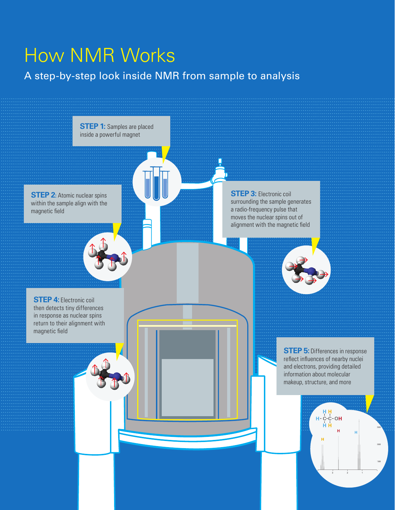### How NMR Works

### A step-by-step look inside NMR from sample to analysis